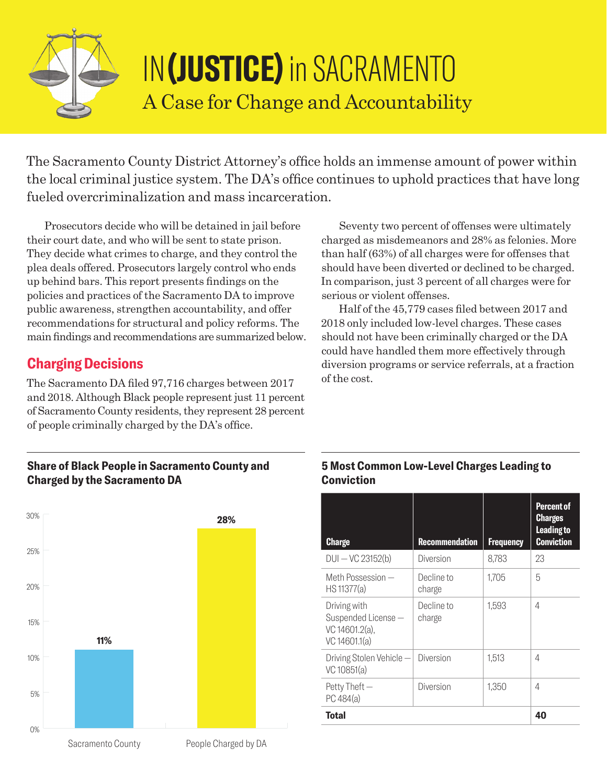

# IN**(JUSTICE)** in SACRAMENTO A Case for Change and Accountability

The Sacramento County District Attorney's office holds an immense amount of power within the local criminal justice system. The DA's office continues to uphold practices that have long fueled overcriminalization and mass incarceration.

Prosecutors decide who will be detained in jail before their court date, and who will be sent to state prison. They decide what crimes to charge, and they control the plea deals offered. Prosecutors largely control who ends up behind bars. This report presents findings on the policies and practices of the Sacramento DA to improve public awareness, strengthen accountability, and offer recommendations for structural and policy reforms. The main findings and recommendations are summarized below.

# **Charging Decisions**

The Sacramento DA filed 97,716 charges between 2017 and 2018. Although Black people represent just 11 percent of Sacramento County residents, they represent 28 percent of people criminally charged by the DA's office.

Seventy two percent of offenses were ultimately charged as misdemeanors and 28% as felonies. More than half (63%) of all charges were for offenses that should have been diverted or declined to be charged. In comparison, just 3 percent of all charges were for serious or violent offenses.

Half of the 45,779 cases filed between 2017 and 2018 only included low-level charges. These cases should not have been criminally charged or the DA could have handled them more effectively through diversion programs or service referrals, at a fraction of the cost.

#### **Share of Black People in Sacramento County and Charged by the Sacramento DA**



#### **5 Most Common Low-Level Charges Leading to Conviction**

| <b>Charge</b>                                                         | <b>Recommendation</b> | <b>Frequency</b> | <b>Percent of</b><br><b>Charges</b><br><b>Leading to</b><br><b>Conviction</b> |
|-----------------------------------------------------------------------|-----------------------|------------------|-------------------------------------------------------------------------------|
| DUI-VC 23152(b)                                                       | Diversion             | 8.783            | 23                                                                            |
| Meth Possession —<br>HS 11377(a)                                      | Decline to<br>charge  | 1,705            | 5                                                                             |
| Driving with<br>Suspended License-<br>VC 14601.2(a),<br>VC 14601.1(a) | Decline to<br>charge  | 1.593            | 4                                                                             |
| Driving Stolen Vehicle -<br>VC 10851(a)                               | Diversion             | 1,513            | 4                                                                             |
| Petty Theft -<br>PC 484(a)                                            | Diversion             | 1,350            | 4                                                                             |
| <b>Total</b>                                                          |                       |                  | 40                                                                            |